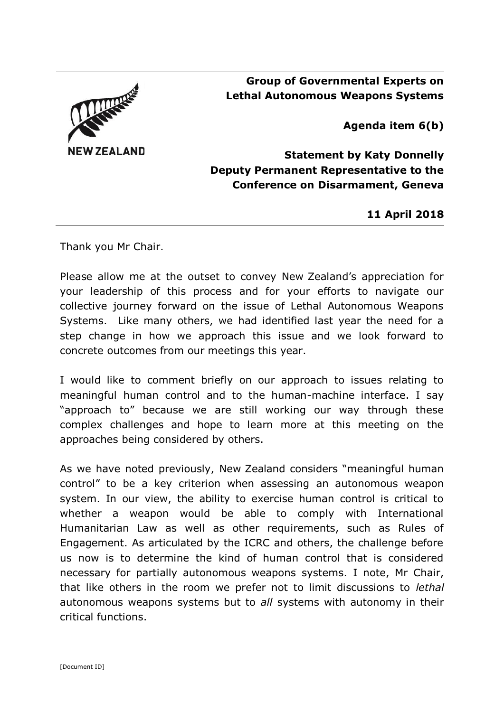

**Group of Governmental Experts on Lethal Autonomous Weapons Systems**

**Agenda item 6(b)**

**Statement by Katy Donnelly Deputy Permanent Representative to the Conference on Disarmament, Geneva**

**11 April 2018**

Thank you Mr Chair.

Please allow me at the outset to convey New Zealand's appreciation for your leadership of this process and for your efforts to navigate our collective journey forward on the issue of Lethal Autonomous Weapons Systems. Like many others, we had identified last year the need for a step change in how we approach this issue and we look forward to concrete outcomes from our meetings this year.

I would like to comment briefly on our approach to issues relating to meaningful human control and to the human-machine interface. I say "approach to" because we are still working our way through these complex challenges and hope to learn more at this meeting on the approaches being considered by others.

As we have noted previously, New Zealand considers "meaningful human control" to be a key criterion when assessing an autonomous weapon system. In our view, the ability to exercise human control is critical to whether a weapon would be able to comply with International Humanitarian Law as well as other requirements, such as Rules of Engagement. As articulated by the ICRC and others, the challenge before us now is to determine the kind of human control that is considered necessary for partially autonomous weapons systems. I note, Mr Chair, that like others in the room we prefer not to limit discussions to *lethal*  autonomous weapons systems but to *all* systems with autonomy in their critical functions.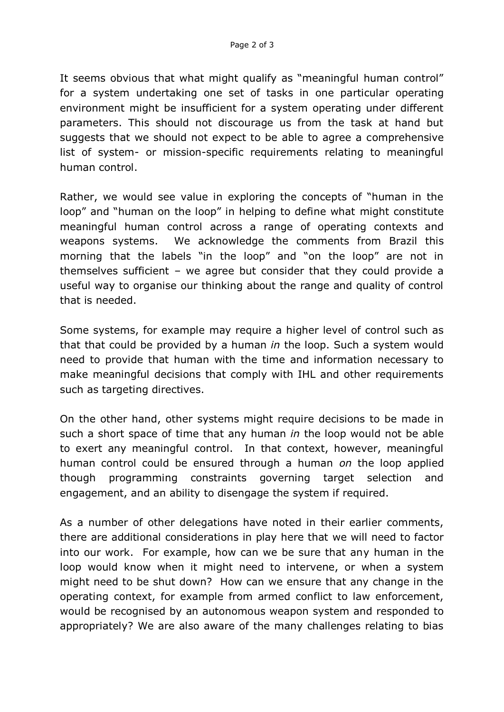It seems obvious that what might qualify as "meaningful human control" for a system undertaking one set of tasks in one particular operating environment might be insufficient for a system operating under different parameters. This should not discourage us from the task at hand but suggests that we should not expect to be able to agree a comprehensive list of system- or mission-specific requirements relating to meaningful human control.

Rather, we would see value in exploring the concepts of "human in the loop" and "human on the loop" in helping to define what might constitute meaningful human control across a range of operating contexts and weapons systems. We acknowledge the comments from Brazil this morning that the labels "in the loop" and "on the loop" are not in themselves sufficient – we agree but consider that they could provide a useful way to organise our thinking about the range and quality of control that is needed.

Some systems, for example may require a higher level of control such as that that could be provided by a human *in* the loop. Such a system would need to provide that human with the time and information necessary to make meaningful decisions that comply with IHL and other requirements such as targeting directives.

On the other hand, other systems might require decisions to be made in such a short space of time that any human *in* the loop would not be able to exert any meaningful control. In that context, however, meaningful human control could be ensured through a human *on* the loop applied though programming constraints governing target selection and engagement, and an ability to disengage the system if required.

As a number of other delegations have noted in their earlier comments, there are additional considerations in play here that we will need to factor into our work. For example, how can we be sure that any human in the loop would know when it might need to intervene, or when a system might need to be shut down? How can we ensure that any change in the operating context, for example from armed conflict to law enforcement, would be recognised by an autonomous weapon system and responded to appropriately? We are also aware of the many challenges relating to bias